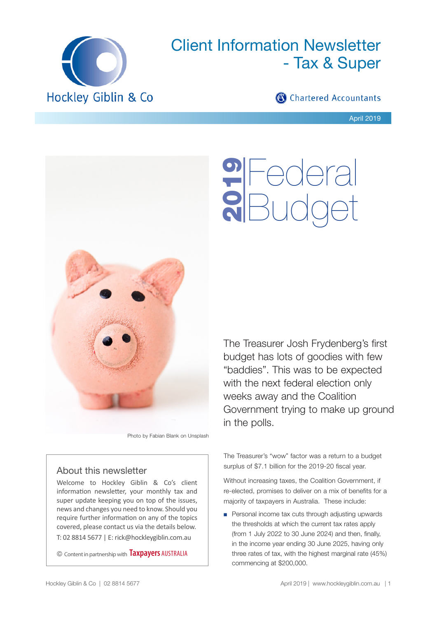

# Client Information Newsletter - Tax & Super

# Chartered Accountants

Federal

**9** Federal<br>**8** Budget

April 2019



Photo by Fabian Blank on Unsplash

# About this newsletter

Welcome to Hockley Giblin & Co's client information newsletter, your monthly tax and super update keeping you on top of the issues, news and changes you need to know. Should you require further information on any of the topics covered, please contact us via the details below. T: 02 8814 5677 | E: rick@hockleygiblin.com.au

© Content in partnership with **Taxpayers** AUSTRALIA

The Treasurer Josh Frydenberg's first budget has lots of goodies with few "baddies". This was to be expected with the next federal election only weeks away and the Coalition Government trying to make up ground in the polls.

The Treasurer's "wow" factor was a return to a budget surplus of \$7.1 billion for the 2019-20 fiscal year.

Without increasing taxes, the Coalition Government, if re-elected, promises to deliver on a mix of benefits for a majority of taxpayers in Australia. These include:

■ Personal income tax cuts through adjusting upwards the thresholds at which the current tax rates apply (from 1 July 2022 to 30 June 2024) and then, finally, in the income year ending 30 June 2025, having only three rates of tax, with the highest marginal rate (45%) commencing at \$200,000.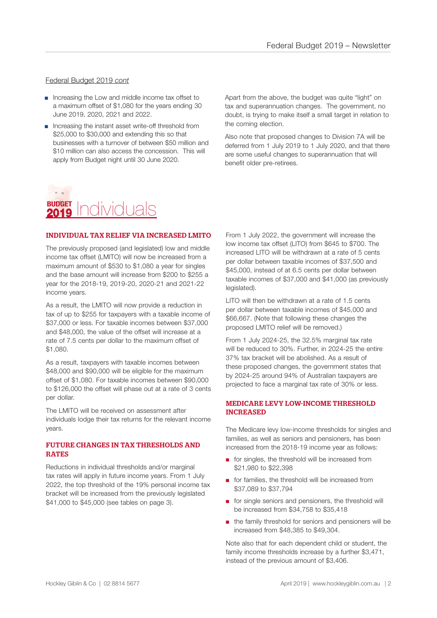## Federal Budget 2019 *cont*

- Increasing the Low and middle income tax offset to a maximum offset of \$1,080 for the years ending 30 June 2019, 2020, 2021 and 2022.
- Increasing the instant asset write-off threshold from \$25,000 to \$30,000 and extending this so that businesses with a turnover of between \$50 million and \$10 million can also access the concession. This will apply from Budget night until 30 June 2020.

Apart from the above, the budget was quite "light" on tax and superannuation changes. The government, no doubt, is trying to make itself a small target in relation to the coming election.

Also note that proposed changes to Division 7A will be deferred from 1 July 2019 to 1 July 2020, and that there are some useful changes to superannuation that will benefit older pre-retirees.

# **BUDGET** Individuals 2019

# INDIVIDUAL TAX RELIEF VIA INCREASED LMITO

The previously proposed (and legislated) low and middle income tax offset (LMITO) will now be increased from a maximum amount of \$530 to \$1,080 a year for singles and the base amount will increase from \$200 to \$255 a year for the 2018-19, 2019-20, 2020-21 and 2021-22 income years.

As a result, the LMITO will now provide a reduction in tax of up to \$255 for taxpayers with a taxable income of \$37,000 or less. For taxable incomes between \$37,000 and \$48,000, the value of the offset will increase at a rate of 7.5 cents per dollar to the maximum offset of \$1,080.

As a result, taxpayers with taxable incomes between \$48,000 and \$90,000 will be eligible for the maximum offset of \$1,080. For taxable incomes between \$90,000 to \$126,000 the offset will phase out at a rate of 3 cents per dollar.

The LMITO will be received on assessment after individuals lodge their tax returns for the relevant income years.

## FUTURE CHANGES IN TAX THRESHOLDS AND RATES

Reductions in individual thresholds and/or marginal tax rates will apply in future income years. From 1 July 2022, the top threshold of the 19% personal income tax bracket will be increased from the previously legislated \$41,000 to \$45,000 (see tables on page 3).

From 1 July 2022, the government will increase the low income tax offset (LITO) from \$645 to \$700. The increased LITO will be withdrawn at a rate of 5 cents per dollar between taxable incomes of \$37,500 and \$45,000, instead of at 6.5 cents per dollar between taxable incomes of \$37,000 and \$41,000 (as previously legislated).

LITO will then be withdrawn at a rate of 1.5 cents per dollar between taxable incomes of \$45,000 and \$66,667. (Note that following these changes the proposed LMITO relief will be removed.)

From 1 July 2024-25, the 32.5% marginal tax rate will be reduced to 30%. Further, in 2024-25 the entire 37% tax bracket will be abolished. As a result of these proposed changes, the government states that by 2024-25 around 94% of Australian taxpayers are projected to face a marginal tax rate of 30% or less.

## MEDICARE LEVY LOW-INCOME THRESHOLD INCREASED

The Medicare levy low-income thresholds for singles and families, as well as seniors and pensioners, has been increased from the 2018-19 income year as follows:

- for singles, the threshold will be increased from \$21,980 to \$22,398
- for families, the threshold will be increased from \$37,089 to \$37,794
- for single seniors and pensioners, the threshold will be increased from \$34,758 to \$35,418
- the family threshold for seniors and pensioners will be increased from \$48,385 to \$49,304.

Note also that for each dependent child or student, the family income thresholds increase by a further \$3,471, instead of the previous amount of \$3,406.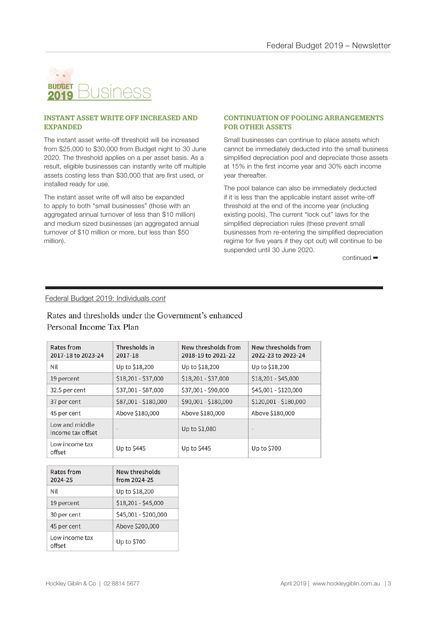

#### INSTANT ASSET WRITE OFF INCREASED AND EXPANDED

The instant asset write-off threshold will be increased from \$25,000 to \$30,000 from Budget night to 30 June 2020. The threshold applies on a per asset basis. As a result, eligible businesses can instantly write off multiple assets costing less than \$30,000 that are first used, or installed ready for use.

The instant asset write off will also be expanded to apply to both "small businesses" (those with an aggregated annual turnover of less than \$10 million) and medium sized businesses (an aggregated annual turnover of \$10 million or more, but less than \$50 million).

### CONTINUATION OF POOLING ARRANGEMENTS FOR OTHER ASSETS

Small businesses can continue to place assets which cannot be immediately deducted into the small business simplified depreciation pool and depreciate those assets at 15% in the first income year and 30% each income year thereafter.

The pool balance can also be immediately deducted if it is less than the applicable instant asset write-off threshold at the end of the income year (including existing pools). The current "lock out" laws for the simplified depreciation rules (these prevent small businesses from re-entering the simplified depreciation regime for five years if they opt out) will continue to be suspended until 30 June 2020.

continued ➡

## Federal Budget 2019: Individuals *cont*

## Rates and thresholds under the Government's enhanced Personal Income Tax Plan

| Rates from<br>2017-18 to 2023-24    | Thresholds in<br>2017-18 | New thresholds from<br>2018-19 to 2021-22 | New thresholds from<br>2022-23 to 2023-24 |
|-------------------------------------|--------------------------|-------------------------------------------|-------------------------------------------|
| Nil                                 | Up to \$18,200           | Up to \$18,200                            | Up to \$18,200                            |
| 19 percent                          | $$18,201 - $37,000$      | $$18,201 - $37,000$                       | $$18,201 - $45,000$                       |
| 32.5 per cent                       | \$37,001 - \$87,000      | \$37,001 - \$90,000                       | \$45,001 - \$120,000                      |
| 37 per cent                         | \$87,001 - \$180,000     | \$90,001 - \$180,000                      | \$120,001 - \$180,000                     |
| 45 per cent                         | Above \$180,000          | Above \$180,000                           | Above \$180,000                           |
| Low and middle<br>income tax offset | $\qquad \qquad$          | Up to \$1,080                             | $\qquad \qquad \blacksquare$              |
| Low income tax<br>offset            | Up to \$445              | Up to \$445                               | Up to \$700                               |

| Rates from<br>2024-25    | New thresholds<br>from 2024-25 |  |
|--------------------------|--------------------------------|--|
| Nil                      | Up to \$18,200                 |  |
| 19 percent               | $$18,201 - $45,000$            |  |
| 30 per cent              | \$45,001 - \$200,000           |  |
| 45 per cent              | Above \$200,000                |  |
| Low income tax<br>offset | Up to \$700                    |  |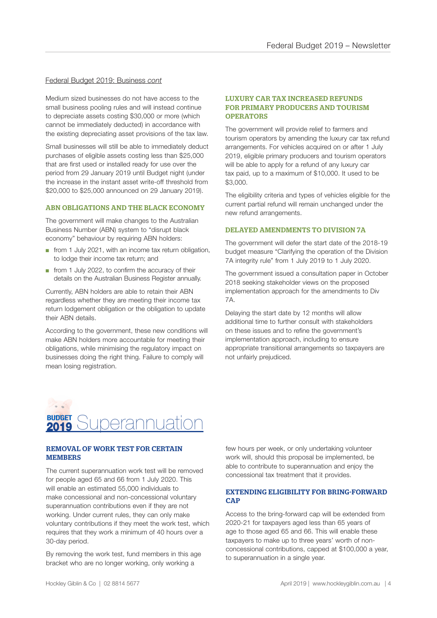#### Federal Budget 2019: Business *cont*

Medium sized businesses do not have access to the small business pooling rules and will instead continue to depreciate assets costing \$30,000 or more (which cannot be immediately deducted) in accordance with the existing depreciating asset provisions of the tax law.

Small businesses will still be able to immediately deduct purchases of eligible assets costing less than \$25,000 that are first used or installed ready for use over the period from 29 January 2019 until Budget night (under the increase in the instant asset write-off threshold from \$20,000 to \$25,000 announced on 29 January 2019).

#### ABN OBLIGATIONS AND THE BLACK ECONOMY

The government will make changes to the Australian Business Number (ABN) system to "disrupt black economy" behaviour by requiring ABN holders:

- from 1 July 2021, with an income tax return obligation, to lodge their income tax return; and
- from 1 July 2022, to confirm the accuracy of their details on the Australian Business Register annually.

Currently, ABN holders are able to retain their ABN regardless whether they are meeting their income tax return lodgement obligation or the obligation to update their ABN details.

According to the government, these new conditions will make ABN holders more accountable for meeting their obligations, while minimising the regulatory impact on businesses doing the right thing. Failure to comply will mean losing registration.

#### LUXURY CAR TAX INCREASED REFUNDS FOR PRIMARY PRODUCERS AND TOURISM **OPERATORS**

The government will provide relief to farmers and tourism operators by amending the luxury car tax refund arrangements. For vehicles acquired on or after 1 July 2019, eligible primary producers and tourism operators will be able to apply for a refund of any luxury car tax paid, up to a maximum of \$10,000. It used to be \$3,000.

The eligibility criteria and types of vehicles eligible for the current partial refund will remain unchanged under the new refund arrangements.

#### DELAYED AMENDMENTS TO DIVISION 7A

The government will defer the start date of the 2018-19 budget measure "Clarifying the operation of the Division 7A integrity rule" from 1 July 2019 to 1 July 2020.

The government issued a consultation paper in October 2018 seeking stakeholder views on the proposed implementation approach for the amendments to Div 7A.

Delaying the start date by 12 months will allow additional time to further consult with stakeholders on these issues and to refine the government's implementation approach, including to ensure appropriate transitional arrangements so taxpayers are not unfairly prejudiced.



#### REMOVAL OF WORK TEST FOR CERTAIN **MEMBERS**

The current superannuation work test will be removed for people aged 65 and 66 from 1 July 2020. This will enable an estimated 55,000 individuals to make concessional and non-concessional voluntary superannuation contributions even if they are not working. Under current rules, they can only make voluntary contributions if they meet the work test, which requires that they work a minimum of 40 hours over a 30-day period.

By removing the work test, fund members in this age bracket who are no longer working, only working a

few hours per week, or only undertaking volunteer work will, should this proposal be implemented, be able to contribute to superannuation and enjoy the concessional tax treatment that it provides.

#### EXTENDING ELIGIBILITY FOR BRING-FORWARD **CAP**

Access to the bring-forward cap will be extended from 2020-21 for taxpayers aged less than 65 years of age to those aged 65 and 66. This will enable these taxpayers to make up to three years' worth of nonconcessional contributions, capped at \$100,000 a year, to superannuation in a single year.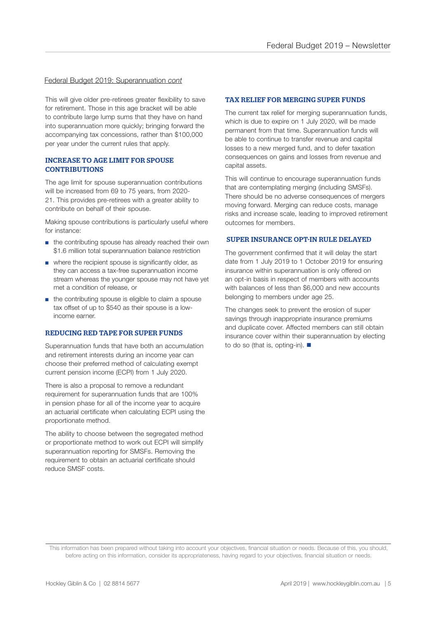#### Federal Budget 2019: Superannuation *cont*

This will give older pre-retirees greater flexibility to save for retirement. Those in this age bracket will be able to contribute large lump sums that they have on hand into superannuation more quickly; bringing forward the accompanying tax concessions, rather than \$100,000 per year under the current rules that apply.

#### INCREASE TO AGE LIMIT FOR SPOUSE **CONTRIBUTIONS**

The age limit for spouse superannuation contributions will be increased from 69 to 75 years, from 2020- 21. This provides pre-retirees with a greater ability to contribute on behalf of their spouse.

Making spouse contributions is particularly useful where for instance:

- the contributing spouse has already reached their own \$1.6 million total superannuation balance restriction
- where the recipient spouse is significantly older, as they can access a tax-free superannuation income stream whereas the younger spouse may not have yet met a condition of release, or
- the contributing spouse is eligible to claim a spouse tax offset of up to \$540 as their spouse is a lowincome earner.

#### REDUCING RED TAPE FOR SUPER FUNDS

Superannuation funds that have both an accumulation and retirement interests during an income year can choose their preferred method of calculating exempt current pension income (ECPI) from 1 July 2020.

There is also a proposal to remove a redundant requirement for superannuation funds that are 100% in pension phase for all of the income year to acquire an actuarial certificate when calculating ECPI using the proportionate method.

The ability to choose between the segregated method or proportionate method to work out ECPI will simplify superannuation reporting for SMSFs. Removing the requirement to obtain an actuarial certificate should reduce SMSF costs.

#### TAX RELIEF FOR MERGING SUPER FUNDS

The current tax relief for merging superannuation funds, which is due to expire on 1 July 2020, will be made permanent from that time. Superannuation funds will be able to continue to transfer revenue and capital losses to a new merged fund, and to defer taxation consequences on gains and losses from revenue and capital assets.

This will continue to encourage superannuation funds that are contemplating merging (including SMSFs). There should be no adverse consequences of mergers moving forward. Merging can reduce costs, manage risks and increase scale, leading to improved retirement outcomes for members.

#### SUPER INSURANCE OPT-IN RULE DELAYED

The government confirmed that it will delay the start date from 1 July 2019 to 1 October 2019 for ensuring insurance within superannuation is only offered on an opt-in basis in respect of members with accounts with balances of less than \$6,000 and new accounts belonging to members under age 25.

The changes seek to prevent the erosion of super savings through inappropriate insurance premiums and duplicate cover. Affected members can still obtain insurance cover within their superannuation by electing to do so (that is, opting-in).  $\blacksquare$ 

This information has been prepared without taking into account your objectives, financial situation or needs. Because of this, you should, before acting on this information, consider its appropriateness, having regard to your objectives, financial situation or needs.